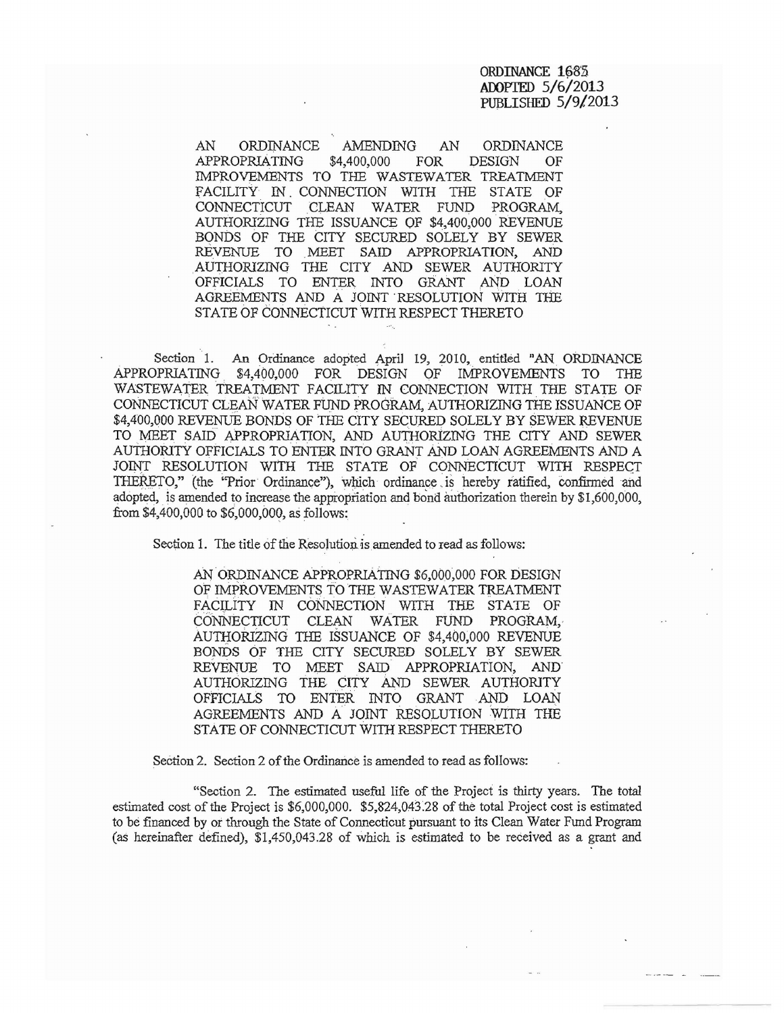AN ORDINANCE AMENDING AN ORDINANCE APPROPRIATING \$4,400,000 FOR DESIGN OF IMPROVEMENTS TO THE WASTEWATER TREATMENT FACILITY IN CONNECTION WITH THE STATE OF CONNECTICUT CLEAN WATER FUND PROGRAM, AUTHORIZING THE ISSUANCE OF \$4,400,000' REVENUE BONDS OF THE CITY SECURED SOLELY BY SEWER REVENUE TO MEET SAID APPROPRIATION, AND AUTHORIZING THE CITY AND SEWER AUTHORITY OFFICIALS TO ENTER INTO GRANT AND LOAN AGREEMENTS AND A JOINT 'RESOLUTION WITH THE STATE OF CONNECtICUT WITH RESPECT THERETO

Section 1. An Ordinance adopted April 19, 2010, entitled "AN ORDINANCE APPROPRIATING. \$4,400,000 FOR DESIGN OF IMPROVEMENTS TO THE WASTEWATER TREATMENT FACILITY IN CONNECTION WITH THE STATE OF CONNECTICUT CLEAN WATER FUND PROGRAM, AUTHORIZING THE ISSUANCE OF \$4,400,000 REVENUE BONDS OF tHE CITY SECURED SOLELY BY SEWER REVENUE TO MEET SAID APPROPRIATION, AND AUTHORIZING THE CITY AND SEWER AUTHORITY OFFICIALS TO ENTER INTO GRANT AND LOAN AGREEMENTS AND A JOINT RESOLUTION WITH TIlE STATE OF CONNECTICUT WITH RESPECT THERETO," (the "Prior Ordinance"), which ordinance is hereby ratified, confirmed and adopted, is amended to increase the appropriation and bond authorization therein by \$1,600,000, from \$4,400,000 to \$6,000,000, as follows:

Section 1. The title of the Resolution is amended to read as follows:

AN ORDINANCE APPROPRIATING \$6,000,000 FOR DESIGN OF IMPROVEMENTS TO THE WASTEWATER TREATMENT FACILITY IN CONNECTION WITH THE STATE OF CONNECTICUT CLEAN WATER FUND PROGRAM. AUTHORIZING THE ISSUANCE OF \$4,400,000 REVENUE BONDS OF THE CITY SECURED SOLELY BY SEWER REVENUE TO MEET SAID APPROPRIATION, AND' AUTHORIZING THE CITY AND SEWER AUTHORITY OFFICIALS TO ENTER. INTO GRANT AND LOAN AGREEMENTS AND A JOINT RESOLUTION WITH THE STATE OF CONNECTICUT WITH RESPECT THERETO

Section 2. Section 2 of the Ordinance is amended to read as follows:

"Section 2. The estimated useful life of the Project is thirty years. The *total*  estimated cost of the Project is  $$6,000,000$ .  $$5,824,043.28$  of the total Project cost is estimated to be financed by or through the State of Connecticut pursuant to its Clean Water Fund Program (as hereinafter defined), \$1,450,043.28 of which is estimated to be received as a grant and